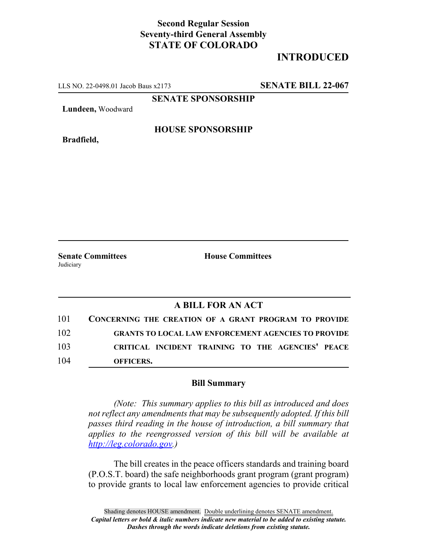## **Second Regular Session Seventy-third General Assembly STATE OF COLORADO**

# **INTRODUCED**

LLS NO. 22-0498.01 Jacob Baus x2173 **SENATE BILL 22-067**

**SENATE SPONSORSHIP**

**Lundeen,** Woodward

**Bradfield,**

### **HOUSE SPONSORSHIP**

**Senate Committees House Committees Judiciary** 

### **A BILL FOR AN ACT**

| 101 | <b>CONCERNING THE CREATION OF A GRANT PROGRAM TO PROVIDE</b> |
|-----|--------------------------------------------------------------|
| 102 | <b>GRANTS TO LOCAL LAW ENFORCEMENT AGENCIES TO PROVIDE</b>   |
| 103 | CRITICAL INCIDENT TRAINING TO THE AGENCIES' PEACE            |
| 104 | <b>OFFICERS.</b>                                             |

#### **Bill Summary**

*(Note: This summary applies to this bill as introduced and does not reflect any amendments that may be subsequently adopted. If this bill passes third reading in the house of introduction, a bill summary that applies to the reengrossed version of this bill will be available at http://leg.colorado.gov.)*

The bill creates in the peace officers standards and training board (P.O.S.T. board) the safe neighborhoods grant program (grant program) to provide grants to local law enforcement agencies to provide critical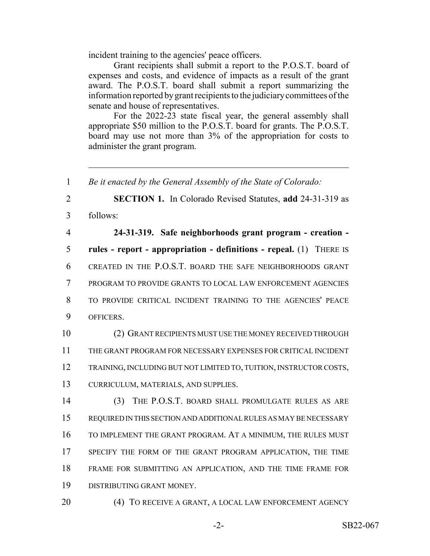incident training to the agencies' peace officers.

Grant recipients shall submit a report to the P.O.S.T. board of expenses and costs, and evidence of impacts as a result of the grant award. The P.O.S.T. board shall submit a report summarizing the information reported by grant recipients to the judiciary committees of the senate and house of representatives.

For the 2022-23 state fiscal year, the general assembly shall appropriate \$50 million to the P.O.S.T. board for grants. The P.O.S.T. board may use not more than 3% of the appropriation for costs to administer the grant program.

 *Be it enacted by the General Assembly of the State of Colorado:* **SECTION 1.** In Colorado Revised Statutes, **add** 24-31-319 as 3 follows: **24-31-319. Safe neighborhoods grant program - creation - rules - report - appropriation - definitions - repeal.** (1) THERE IS CREATED IN THE P.O.S.T. BOARD THE SAFE NEIGHBORHOODS GRANT PROGRAM TO PROVIDE GRANTS TO LOCAL LAW ENFORCEMENT AGENCIES TO PROVIDE CRITICAL INCIDENT TRAINING TO THE AGENCIES' PEACE OFFICERS. (2) GRANT RECIPIENTS MUST USE THE MONEY RECEIVED THROUGH THE GRANT PROGRAM FOR NECESSARY EXPENSES FOR CRITICAL INCIDENT TRAINING, INCLUDING BUT NOT LIMITED TO, TUITION, INSTRUCTOR COSTS, CURRICULUM, MATERIALS, AND SUPPLIES. (3) THE P.O.S.T. BOARD SHALL PROMULGATE RULES AS ARE REQUIRED IN THIS SECTION AND ADDITIONAL RULES AS MAY BE NECESSARY TO IMPLEMENT THE GRANT PROGRAM. AT A MINIMUM, THE RULES MUST 17 SPECIFY THE FORM OF THE GRANT PROGRAM APPLICATION, THE TIME FRAME FOR SUBMITTING AN APPLICATION, AND THE TIME FRAME FOR DISTRIBUTING GRANT MONEY.

20 (4) TO RECEIVE A GRANT, A LOCAL LAW ENFORCEMENT AGENCY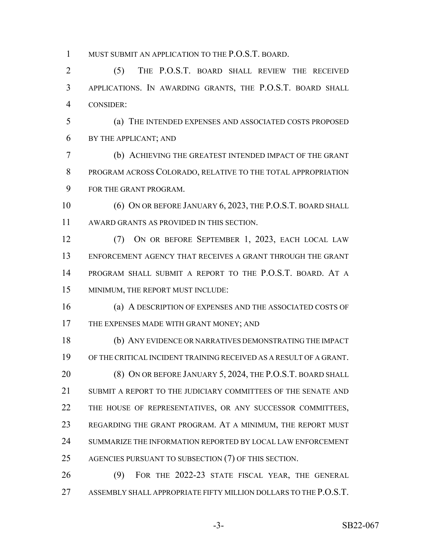MUST SUBMIT AN APPLICATION TO THE P.O.S.T. BOARD.

 (5) THE P.O.S.T. BOARD SHALL REVIEW THE RECEIVED APPLICATIONS. IN AWARDING GRANTS, THE P.O.S.T. BOARD SHALL CONSIDER:

 (a) THE INTENDED EXPENSES AND ASSOCIATED COSTS PROPOSED BY THE APPLICANT; AND

 (b) ACHIEVING THE GREATEST INTENDED IMPACT OF THE GRANT PROGRAM ACROSS COLORADO, RELATIVE TO THE TOTAL APPROPRIATION FOR THE GRANT PROGRAM.

10 (6) ON OR BEFORE JANUARY 6, 2023, THE P.O.S.T. BOARD SHALL AWARD GRANTS AS PROVIDED IN THIS SECTION.

 (7) ON OR BEFORE SEPTEMBER 1, 2023, EACH LOCAL LAW ENFORCEMENT AGENCY THAT RECEIVES A GRANT THROUGH THE GRANT PROGRAM SHALL SUBMIT A REPORT TO THE P.O.S.T. BOARD. AT A MINIMUM, THE REPORT MUST INCLUDE:

 (a) A DESCRIPTION OF EXPENSES AND THE ASSOCIATED COSTS OF 17 THE EXPENSES MADE WITH GRANT MONEY; AND

 (b) ANY EVIDENCE OR NARRATIVES DEMONSTRATING THE IMPACT OF THE CRITICAL INCIDENT TRAINING RECEIVED AS A RESULT OF A GRANT. 20 (8) ON OR BEFORE JANUARY 5, 2024, THE P.O.S.T. BOARD SHALL SUBMIT A REPORT TO THE JUDICIARY COMMITTEES OF THE SENATE AND 22 THE HOUSE OF REPRESENTATIVES, OR ANY SUCCESSOR COMMITTEES, REGARDING THE GRANT PROGRAM. AT A MINIMUM, THE REPORT MUST SUMMARIZE THE INFORMATION REPORTED BY LOCAL LAW ENFORCEMENT 25 AGENCIES PURSUANT TO SUBSECTION (7) OF THIS SECTION.

 (9) FOR THE 2022-23 STATE FISCAL YEAR, THE GENERAL ASSEMBLY SHALL APPROPRIATE FIFTY MILLION DOLLARS TO THE P.O.S.T.